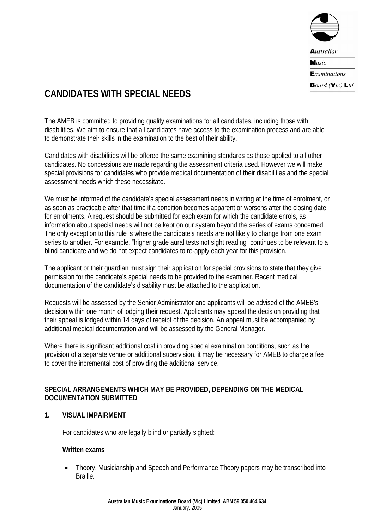

# **CANDIDATES WITH SPECIAL NEEDS**

The AMEB is committed to providing quality examinations for all candidates, including those with disabilities. We aim to ensure that all candidates have access to the examination process and are able to demonstrate their skills in the examination to the best of their ability.

Candidates with disabilities will be offered the same examining standards as those applied to all other candidates. No concessions are made regarding the assessment criteria used. However we will make special provisions for candidates who provide medical documentation of their disabilities and the special assessment needs which these necessitate.

We must be informed of the candidate's special assessment needs in writing at the time of enrolment, or as soon as practicable after that time if a condition becomes apparent or worsens after the closing date for enrolments. A request should be submitted for each exam for which the candidate enrols, as information about special needs will not be kept on our system beyond the series of exams concerned. The only exception to this rule is where the candidate's needs are not likely to change from one exam series to another. For example, "higher grade aural tests not sight reading" continues to be relevant to a blind candidate and we do not expect candidates to re-apply each year for this provision.

The applicant or their guardian must sign their application for special provisions to state that they give permission for the candidate's special needs to be provided to the examiner. Recent medical documentation of the candidate's disability must be attached to the application.

Requests will be assessed by the Senior Administrator and applicants will be advised of the AMEB's decision within one month of lodging their request. Applicants may appeal the decision providing that their appeal is lodged within 14 days of receipt of the decision. An appeal must be accompanied by additional medical documentation and will be assessed by the General Manager.

Where there is significant additional cost in providing special examination conditions, such as the provision of a separate venue or additional supervision, it may be necessary for AMEB to charge a fee to cover the incremental cost of providing the additional service.

## **SPECIAL ARRANGEMENTS WHICH MAY BE PROVIDED, DEPENDING ON THE MEDICAL DOCUMENTATION SUBMITTED**

#### **1. VISUAL IMPAIRMENT**

For candidates who are legally blind or partially sighted:

#### **Written exams**

• Theory, Musicianship and Speech and Performance Theory papers may be transcribed into Braille.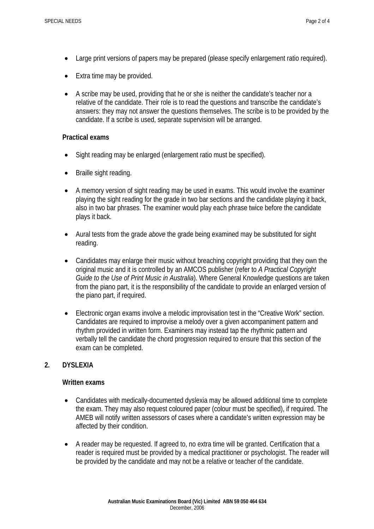- Large print versions of papers may be prepared (please specify enlargement ratio required).
- Extra time may be provided.
- A scribe may be used, providing that he or she is neither the candidate's teacher nor a relative of the candidate. Their role is to read the questions and transcribe the candidate's answers: they may not answer the questions themselves. The scribe is to be provided by the candidate. If a scribe is used, separate supervision will be arranged.

#### **Practical exams**

- Sight reading may be enlarged (enlargement ratio must be specified).
- Braille sight reading.
- A memory version of sight reading may be used in exams. This would involve the examiner playing the sight reading for the grade in two bar sections and the candidate playing it back, also in two bar phrases. The examiner would play each phrase twice before the candidate plays it back.
- Aural tests from the grade *above* the grade being examined may be substituted for sight reading.
- Candidates may enlarge their music without breaching copyright providing that they own the original music and it is controlled by an AMCOS publisher (refer to *A Practical Copyright Guide to the Use of Print Music in Australia*). Where General Knowledge questions are taken from the piano part, it is the responsibility of the candidate to provide an enlarged version of the piano part, if required.
- Electronic organ exams involve a melodic improvisation test in the "Creative Work" section. Candidates are required to improvise a melody over a given accompaniment pattern and rhythm provided in written form. Examiners may instead tap the rhythmic pattern and verbally tell the candidate the chord progression required to ensure that this section of the exam can be completed.

# **2. DYSLEXIA**

#### **Written exams**

- Candidates with medically-documented dyslexia may be allowed additional time to complete the exam. They may also request coloured paper (colour must be specified), if required. The AMEB will notify written assessors of cases where a candidate's written expression may be affected by their condition.
- A reader may be requested. If agreed to, no extra time will be granted. Certification that a reader is required must be provided by a medical practitioner or psychologist. The reader will be provided by the candidate and may not be a relative or teacher of the candidate.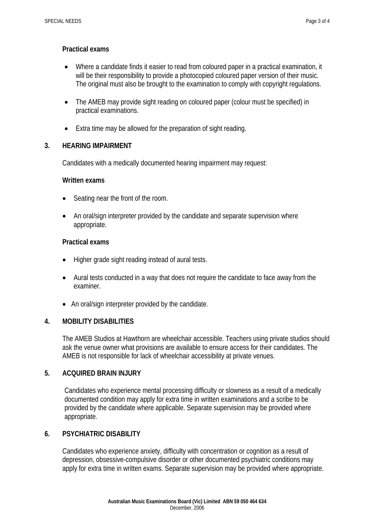## **Practical exams**

- Where a candidate finds it easier to read from coloured paper in a practical examination, it will be their responsibility to provide a photocopied coloured paper version of their music. The original must also be brought to the examination to comply with copyright regulations.
- The AMEB may provide sight reading on coloured paper (colour must be specified) in practical examinations.
- Extra time may be allowed for the preparation of sight reading.

## **3. HEARING IMPAIRMENT**

Candidates with a medically documented hearing impairment may request:

#### **Written exams**

- Seating near the front of the room.
- An oral/sign interpreter provided by the candidate and separate supervision where appropriate.

## **Practical exams**

- Higher grade sight reading instead of aural tests.
- Aural tests conducted in a way that does not require the candidate to face away from the examiner.
- An oral/sign interpreter provided by the candidate.

# **4. MOBILITY DISABILITIES**

The AMEB Studios at Hawthorn are wheelchair accessible. Teachers using private studios should ask the venue owner what provisions are available to ensure access for their candidates. The AMEB is not responsible for lack of wheelchair accessibility at private venues.

# **5. ACQUIRED BRAIN INJURY**

Candidates who experience mental processing difficulty or slowness as a result of a medically documented condition may apply for extra time in written examinations and a scribe to be provided by the candidate where applicable. Separate supervision may be provided where appropriate.

# **6. PSYCHIATRIC DISABILITY**

Candidates who experience anxiety, difficulty with concentration or cognition as a result of depression, obsessive-compulsive disorder or other documented psychiatric conditions may apply for extra time in written exams. Separate supervision may be provided where appropriate.